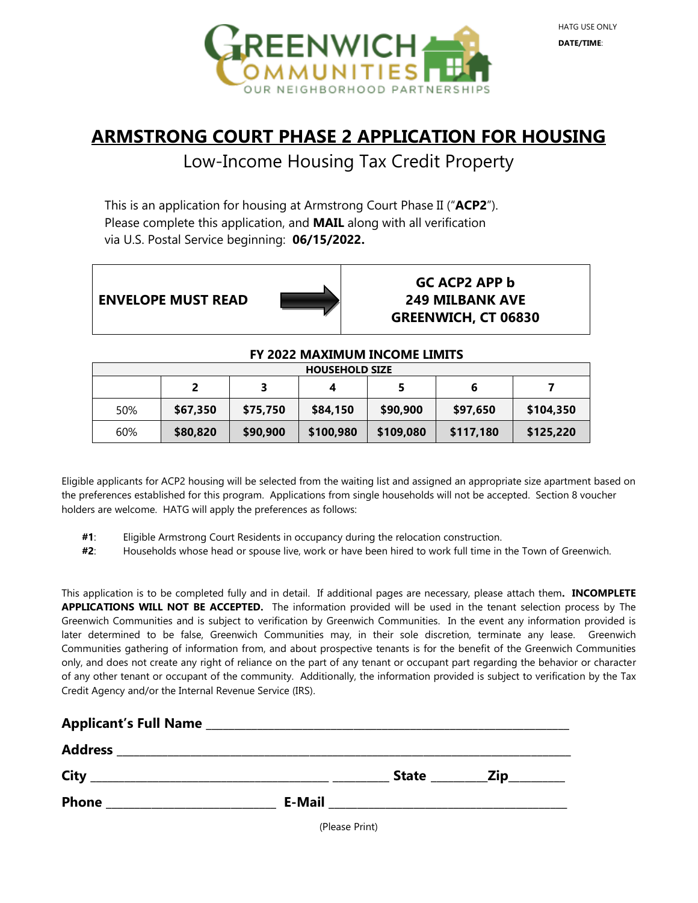

# **ARMSTRONG COURT PHASE 2 APPLICATION FOR HOUSING**

Low-Income Housing Tax Credit Property

This is an application for housing at Armstrong Court Phase II ("**ACP2**"). Please complete this application, and **MAIL** along with all verification via U.S. Postal Service beginning: **06/15/2022.**

**ENVELOPE MUST READ**

holders are welcome. HATG will apply the preferences as follows:



## **GC ACP2 APP b 249 MILBANK AVE GREENWICH, CT 06830**

## **FY 2022 MAXIMUM INCOME LIMITS HOUSEHOLD SIZE 2 3 4 5 6 7** 50% **\$67,350 \$75,750 \$84,150 \$90,900 \$97,650 \$104,350** 60% **\$80,820 \$90,900 \$100,980 \$109,080 \$117,180 \$125,220**

Eligible applicants for ACP2 housing will be selected from the waiting list and assigned an appropriate size apartment based on the preferences established for this program. Applications from single households will not be accepted. Section 8 voucher

- **#1**: Eligible Armstrong Court Residents in occupancy during the relocation construction.
- **#2**: Households whose head or spouse live, work or have been hired to work full time in the Town of Greenwich.

This application is to be completed fully and in detail. If additional pages are necessary, please attach them**. INCOMPLETE APPLICATIONS WILL NOT BE ACCEPTED.** The information provided will be used in the tenant selection process by The Greenwich Communities and is subject to verification by Greenwich Communities. In the event any information provided is later determined to be false, Greenwich Communities may, in their sole discretion, terminate any lease. Greenwich Communities gathering of information from, and about prospective tenants is for the benefit of the Greenwich Communities only, and does not create any right of reliance on the part of any tenant or occupant part regarding the behavior or character of any other tenant or occupant of the community. Additionally, the information provided is subject to verification by the Tax Credit Agency and/or the Internal Revenue Service (IRS).

| <b>Address</b> |                |              |            |  |
|----------------|----------------|--------------|------------|--|
| City           |                | <b>State</b> | <b>Zip</b> |  |
| <b>Phone</b>   | E-Mail         |              |            |  |
|                | (Dlanco Dirit) |              |            |  |

(Please Print)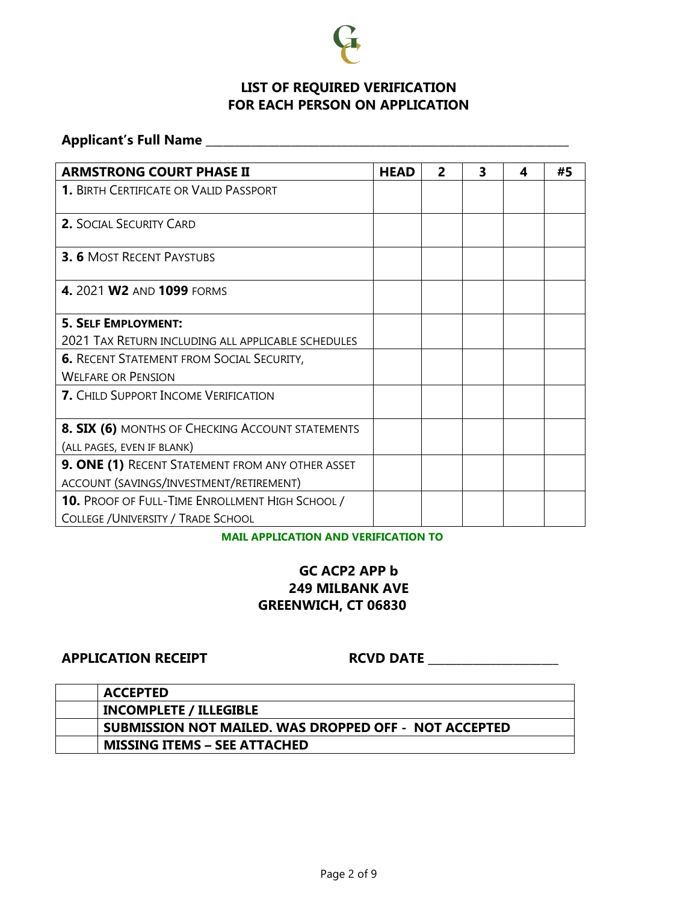

## **LIST OF REQUIRED VERIFICATION FOR EACH PERSON ON APPLICATION**

## **Applicant's Full Name \_\_\_\_\_\_\_\_\_\_\_\_\_\_\_\_\_\_\_\_\_\_\_\_\_\_\_\_\_\_\_\_\_\_\_\_\_\_\_\_\_\_\_\_\_\_\_\_\_\_\_\_\_\_\_\_\_\_\_\_\_\_\_\_**

| <b>ARMSTRONG COURT PHASE II</b>                    | <b>HEAD</b> | 2 | 3 | 4 | #5 |
|----------------------------------------------------|-------------|---|---|---|----|
| <b>1. BIRTH CERTIFICATE OR VALID PASSPORT</b>      |             |   |   |   |    |
| <b>2. SOCIAL SECURITY CARD</b>                     |             |   |   |   |    |
| <b>3. 6 MOST RECENT PAYSTUBS</b>                   |             |   |   |   |    |
| 4. 2021 W2 AND 1099 FORMS                          |             |   |   |   |    |
| <b>5. SELF EMPLOYMENT:</b>                         |             |   |   |   |    |
| 2021 TAX RETURN INCLUDING ALL APPLICABLE SCHEDULES |             |   |   |   |    |
| <b>6. RECENT STATEMENT FROM SOCIAL SECURITY,</b>   |             |   |   |   |    |
| <b>WELFARE OR PENSION</b>                          |             |   |   |   |    |
| <b>7. CHILD SUPPORT INCOME VERIFICATION</b>        |             |   |   |   |    |
| 8. SIX (6) MONTHS OF CHECKING ACCOUNT STATEMENTS   |             |   |   |   |    |
| (ALL PAGES, EVEN IF BLANK)                         |             |   |   |   |    |
| 9. ONE (1) RECENT STATEMENT FROM ANY OTHER ASSET   |             |   |   |   |    |
| ACCOUNT (SAVINGS/INVESTMENT/RETIREMENT)            |             |   |   |   |    |
| 10. PROOF OF FULL-TIME ENROLLMENT HIGH SCHOOL /    |             |   |   |   |    |
| <b>COLLEGE / UNIVERSITY / TRADE SCHOOL</b>         |             |   |   |   |    |

#### **MAIL APPLICATION AND VERIFICATION TO**

## **GC ACP2 APP b 249 MILBANK AVE GREENWICH, CT 06830**

**APPLICATION RECEIPT RCVD DATE \_\_\_\_\_\_\_\_\_\_\_\_\_\_\_\_\_\_\_\_\_\_\_**

| <b>ACCEPTED</b>                                       |
|-------------------------------------------------------|
| <b>INCOMPLETE / ILLEGIBLE</b>                         |
| SUBMISSION NOT MAILED. WAS DROPPED OFF - NOT ACCEPTED |
| <b>MISSING ITEMS - SEE ATTACHED</b>                   |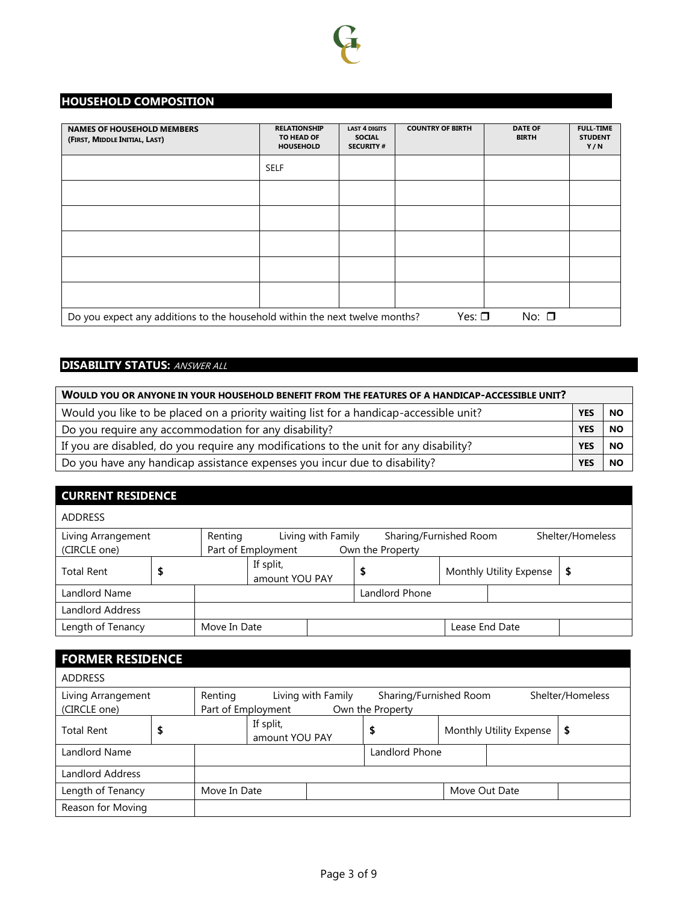

### **HOUSEHOLD COMPOSITION**

| <b>NAMES OF HOUSEHOLD MEMBERS</b><br>(FIRST, MIDDLE INITIAL, LAST)                                             | <b>RELATIONSHIP</b><br>TO HEAD OF<br><b>HOUSEHOLD</b> | <b>LAST 4 DIGITS</b><br><b>SOCIAL</b><br><b>SECURITY#</b> | <b>COUNTRY OF BIRTH</b> | <b>DATE OF</b><br><b>BIRTH</b> | <b>FULL-TIME</b><br><b>STUDENT</b><br>Y/N |  |  |
|----------------------------------------------------------------------------------------------------------------|-------------------------------------------------------|-----------------------------------------------------------|-------------------------|--------------------------------|-------------------------------------------|--|--|
|                                                                                                                | <b>SELF</b>                                           |                                                           |                         |                                |                                           |  |  |
|                                                                                                                |                                                       |                                                           |                         |                                |                                           |  |  |
|                                                                                                                |                                                       |                                                           |                         |                                |                                           |  |  |
|                                                                                                                |                                                       |                                                           |                         |                                |                                           |  |  |
|                                                                                                                |                                                       |                                                           |                         |                                |                                           |  |  |
|                                                                                                                |                                                       |                                                           |                         |                                |                                           |  |  |
| Yes: $\square$<br>Do you expect any additions to the household within the next twelve months?<br>No: $\square$ |                                                       |                                                           |                         |                                |                                           |  |  |

## **DISABILITY STATUS:** ANSWER ALL

| WOULD YOU OR ANYONE IN YOUR HOUSEHOLD BENEFIT FROM THE FEATURES OF A HANDICAP-ACCESSIBLE UNIT? |            |           |  |  |
|------------------------------------------------------------------------------------------------|------------|-----------|--|--|
| Would you like to be placed on a priority waiting list for a handicap-accessible unit?         | <b>YES</b> | <b>NO</b> |  |  |
| Do you require any accommodation for any disability?                                           | <b>YES</b> | <b>NO</b> |  |  |
| If you are disabled, do you require any modifications to the unit for any disability?          | <b>YES</b> | <b>NO</b> |  |  |
| Do you have any handicap assistance expenses you incur due to disability?                      | <b>YES</b> | <b>NO</b> |  |  |

## **CURRENT RESIDENCE**

| <b>ADDRESS</b>                     |              |                             |                    |                                            |                |                         |                  |
|------------------------------------|--------------|-----------------------------|--------------------|--------------------------------------------|----------------|-------------------------|------------------|
| Living Arrangement<br>(CIRCLE one) | Renting      | Part of Employment          | Living with Family | Sharing/Furnished Room<br>Own the Property |                |                         | Shelter/Homeless |
| <b>Total Rent</b>                  |              | If split,<br>amount YOU PAY |                    |                                            |                | Monthly Utility Expense | S                |
| Landlord Name                      |              |                             |                    | Landlord Phone                             |                |                         |                  |
| Landlord Address                   |              |                             |                    |                                            |                |                         |                  |
| Length of Tenancy                  | Move In Date |                             |                    |                                            | Lease End Date |                         |                  |

| <b>FORMER RESIDENCE</b>            |                               |                             |                    |                                            |               |                         |                  |
|------------------------------------|-------------------------------|-----------------------------|--------------------|--------------------------------------------|---------------|-------------------------|------------------|
| <b>ADDRESS</b>                     |                               |                             |                    |                                            |               |                         |                  |
| Living Arrangement<br>(CIRCLE one) | Renting<br>Part of Employment |                             | Living with Family | Sharing/Furnished Room<br>Own the Property |               |                         | Shelter/Homeless |
| <b>Total Rent</b>                  | \$                            | If split,<br>amount YOU PAY |                    | S                                          |               | Monthly Utility Expense | \$               |
| Landlord Name                      |                               |                             |                    | Landlord Phone                             |               |                         |                  |
| Landlord Address                   |                               |                             |                    |                                            |               |                         |                  |
| Length of Tenancy                  | Move In Date                  |                             |                    |                                            | Move Out Date |                         |                  |
| Reason for Moving                  |                               |                             |                    |                                            |               |                         |                  |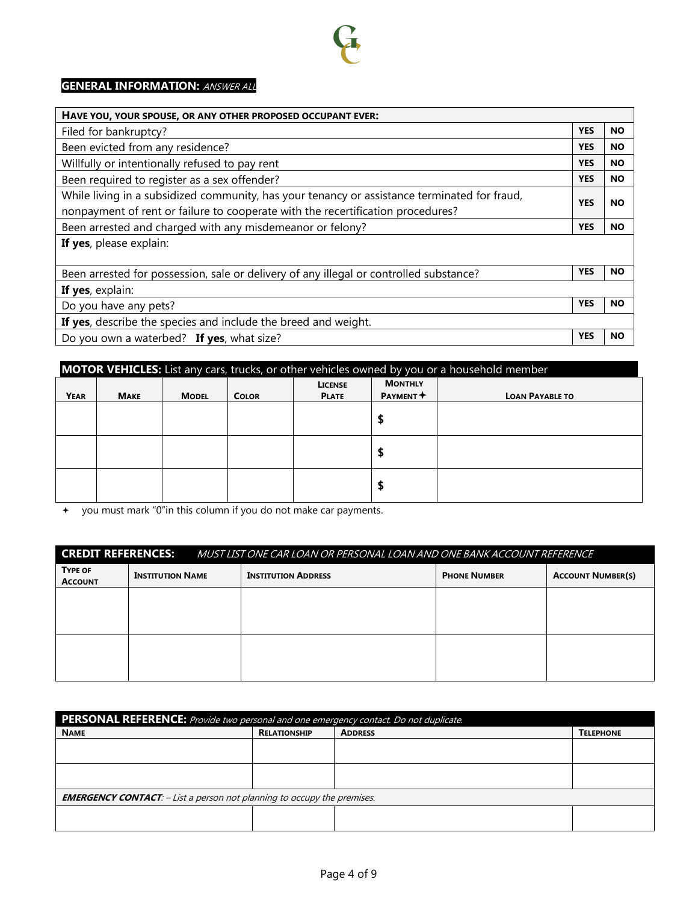

## **GENERAL INFORMATION: ANSWER ALL**

| HAVE YOU, YOUR SPOUSE, OR ANY OTHER PROPOSED OCCUPANT EVER:                                  |            |           |  |  |
|----------------------------------------------------------------------------------------------|------------|-----------|--|--|
| Filed for bankruptcy?                                                                        | <b>YES</b> | <b>NO</b> |  |  |
| Been evicted from any residence?                                                             | <b>YES</b> | <b>NO</b> |  |  |
| Willfully or intentionally refused to pay rent                                               | <b>YES</b> | <b>NO</b> |  |  |
| Been required to register as a sex offender?                                                 | <b>YES</b> | <b>NO</b> |  |  |
| While living in a subsidized community, has your tenancy or assistance terminated for fraud, | <b>YES</b> | <b>NO</b> |  |  |
| nonpayment of rent or failure to cooperate with the recertification procedures?              |            |           |  |  |
| Been arrested and charged with any misdemeanor or felony?                                    |            |           |  |  |
| If yes, please explain:                                                                      |            |           |  |  |
|                                                                                              |            |           |  |  |
| Been arrested for possession, sale or delivery of any illegal or controlled substance?       | <b>YES</b> | <b>NO</b> |  |  |
| If yes, explain:                                                                             |            |           |  |  |
| Do you have any pets?                                                                        | <b>YES</b> | <b>NO</b> |  |  |
| If yes, describe the species and include the breed and weight.                               |            |           |  |  |
| Do you own a waterbed? If yes, what size?                                                    | <b>YES</b> | <b>NO</b> |  |  |

|             | <b>MOTOR VEHICLES:</b> List any cars, trucks, or other vehicles owned by you or a household member |              |              |                                |                               |                        |  |  |
|-------------|----------------------------------------------------------------------------------------------------|--------------|--------------|--------------------------------|-------------------------------|------------------------|--|--|
| <b>YEAR</b> | <b>MAKE</b>                                                                                        | <b>MODEL</b> | <b>COLOR</b> | <b>LICENSE</b><br><b>PLATE</b> | <b>MONTHLY</b><br>$PAYMENT +$ | <b>LOAN PAYABLE TO</b> |  |  |
|             |                                                                                                    |              |              |                                |                               |                        |  |  |
|             |                                                                                                    |              |              |                                |                               |                        |  |  |
|             |                                                                                                    |              |              |                                |                               |                        |  |  |

you must mark "0"in this column if you do not make car payments.

|                                  | <b>CREDIT REFERENCES:</b><br>MUST LIST ONE CAR LOAN OR PERSONAL LOAN AND ONE BANK ACCOUNT REFERENCE |                            |                     |                          |  |  |  |  |
|----------------------------------|-----------------------------------------------------------------------------------------------------|----------------------------|---------------------|--------------------------|--|--|--|--|
| <b>TYPE OF</b><br><b>ACCOUNT</b> | <b>INSTITUTION NAME</b>                                                                             | <b>INSTITUTION ADDRESS</b> | <b>PHONE NUMBER</b> | <b>ACCOUNT NUMBER(S)</b> |  |  |  |  |
|                                  |                                                                                                     |                            |                     |                          |  |  |  |  |
|                                  |                                                                                                     |                            |                     |                          |  |  |  |  |
|                                  |                                                                                                     |                            |                     |                          |  |  |  |  |
|                                  |                                                                                                     |                            |                     |                          |  |  |  |  |

| <b>PERSONAL REFERENCE:</b> Provide two personal and one emergency contact. Do not duplicate. |                     |                |                  |  |  |
|----------------------------------------------------------------------------------------------|---------------------|----------------|------------------|--|--|
| <b>NAME</b>                                                                                  | <b>RELATIONSHIP</b> | <b>ADDRESS</b> | <b>TELEPHONE</b> |  |  |
|                                                                                              |                     |                |                  |  |  |
|                                                                                              |                     |                |                  |  |  |
|                                                                                              |                     |                |                  |  |  |
|                                                                                              |                     |                |                  |  |  |
| <b>EMERGENCY CONTACT:</b> - List a person not planning to occupy the premises.               |                     |                |                  |  |  |
|                                                                                              |                     |                |                  |  |  |
|                                                                                              |                     |                |                  |  |  |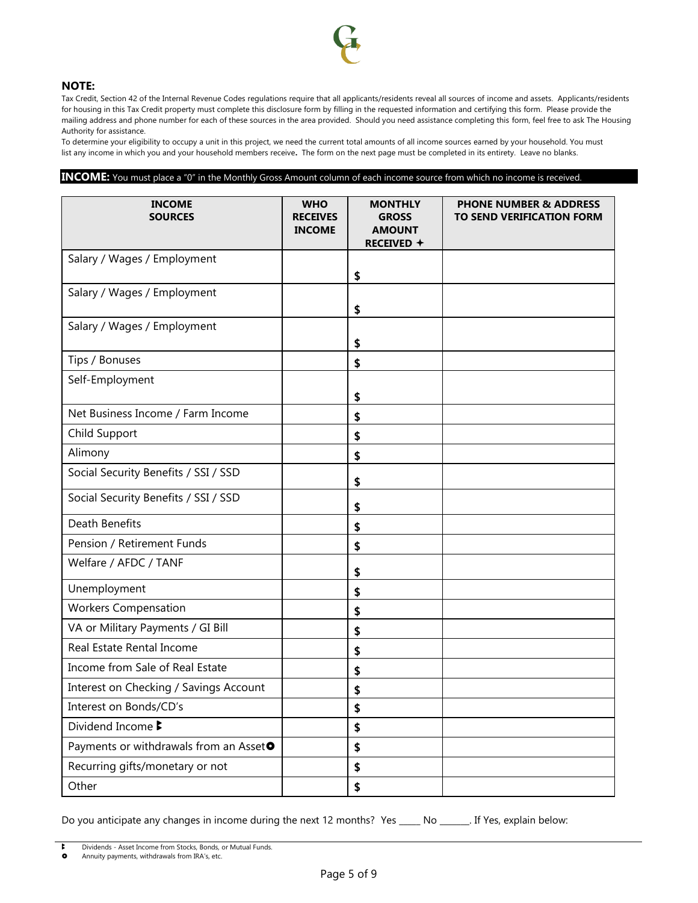

#### **NOTE:**

Tax Credit, Section 42 of the Internal Revenue Codes regulations require that all applicants/residents reveal all sources of income and assets. Applicants/residents for housing in this Tax Credit property must complete this disclosure form by filling in the requested information and certifying this form. Please provide the mailing address and phone number for each of these sources in the area provided. Should you need assistance completing this form, feel free to ask The Housing Authority for assistance.

To determine your eligibility to occupy a unit in this project, we need the current total amounts of all income sources earned by your household. You must list any income in which you and your household members receive**.** The form on the next page must be completed in its entirety. Leave no blanks.

#### **INCOME:** You must place a "0" in the Monthly Gross Amount column of each income source from which no income is received.

| <b>INCOME</b><br><b>SOURCES</b>                    | <b>WHO</b><br><b>RECEIVES</b><br><b>INCOME</b> | <b>MONTHLY</b><br><b>GROSS</b><br><b>AMOUNT</b><br>RECEIVED + | <b>PHONE NUMBER &amp; ADDRESS</b><br><b>TO SEND VERIFICATION FORM</b> |
|----------------------------------------------------|------------------------------------------------|---------------------------------------------------------------|-----------------------------------------------------------------------|
| Salary / Wages / Employment                        |                                                | \$                                                            |                                                                       |
| Salary / Wages / Employment                        |                                                | \$                                                            |                                                                       |
| Salary / Wages / Employment                        |                                                | \$                                                            |                                                                       |
| Tips / Bonuses                                     |                                                | \$                                                            |                                                                       |
| Self-Employment                                    |                                                | \$                                                            |                                                                       |
| Net Business Income / Farm Income                  |                                                | \$                                                            |                                                                       |
| Child Support                                      |                                                | \$                                                            |                                                                       |
| Alimony                                            |                                                | \$                                                            |                                                                       |
| Social Security Benefits / SSI / SSD               |                                                | \$                                                            |                                                                       |
| Social Security Benefits / SSI / SSD               |                                                | \$                                                            |                                                                       |
| Death Benefits                                     |                                                | \$                                                            |                                                                       |
| Pension / Retirement Funds                         |                                                | \$                                                            |                                                                       |
| Welfare / AFDC / TANF                              |                                                | \$                                                            |                                                                       |
| Unemployment                                       |                                                | \$                                                            |                                                                       |
| <b>Workers Compensation</b>                        |                                                | \$                                                            |                                                                       |
| VA or Military Payments / GI Bill                  |                                                | \$                                                            |                                                                       |
| Real Estate Rental Income                          |                                                | \$                                                            |                                                                       |
| Income from Sale of Real Estate                    |                                                | \$                                                            |                                                                       |
| Interest on Checking / Savings Account             |                                                | \$                                                            |                                                                       |
| Interest on Bonds/CD's                             |                                                | \$                                                            |                                                                       |
| Dividend Income B                                  |                                                | \$                                                            |                                                                       |
| Payments or withdrawals from an Asset <sup>o</sup> |                                                | \$                                                            |                                                                       |
| Recurring gifts/monetary or not                    |                                                | \$                                                            |                                                                       |
| Other                                              |                                                | \$                                                            |                                                                       |

Do you anticipate any changes in income during the next 12 months? Yes \_\_\_\_\_ No \_\_\_\_\_\_. If Yes, explain below: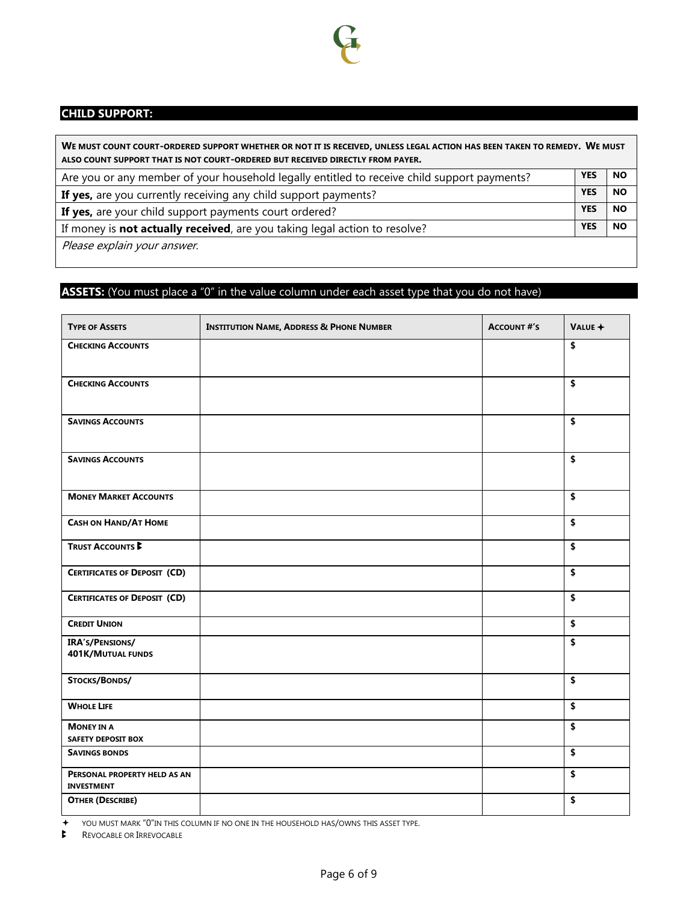

## **CHILD SUPPORT:**

| WE MUST COUNT COURT-ORDERED SUPPORT WHETHER OR NOT IT IS RECEIVED, UNLESS LEGAL ACTION HAS BEEN TAKEN TO REMEDY. WE MUST<br>ALSO COUNT SUPPORT THAT IS NOT COURT-ORDERED BUT RECEIVED DIRECTLY FROM PAYER. |            |           |  |
|------------------------------------------------------------------------------------------------------------------------------------------------------------------------------------------------------------|------------|-----------|--|
| Are you or any member of your household legally entitled to receive child support payments?                                                                                                                | <b>YES</b> | <b>NO</b> |  |
| If yes, are you currently receiving any child support payments?                                                                                                                                            |            | <b>NO</b> |  |
| If yes, are your child support payments court ordered?                                                                                                                                                     |            | <b>NO</b> |  |
| If money is not actually received, are you taking legal action to resolve?                                                                                                                                 |            | <b>NO</b> |  |
| Please explain your answer.                                                                                                                                                                                |            |           |  |

## **ASSETS:** (You must place a "0" in the value column under each asset type that you do not have)

| <b>TYPE OF ASSETS</b>                             | <b>INSTITUTION NAME, ADDRESS &amp; PHONE NUMBER</b> | <b>ACCOUNT #'S</b> | VALUE $+$            |
|---------------------------------------------------|-----------------------------------------------------|--------------------|----------------------|
| <b>CHECKING ACCOUNTS</b>                          |                                                     |                    | \$                   |
| <b>CHECKING ACCOUNTS</b>                          |                                                     |                    | \$                   |
| <b>SAVINGS ACCOUNTS</b>                           |                                                     |                    | $\overline{\bullet}$ |
| <b>SAVINGS ACCOUNTS</b>                           |                                                     |                    | \$                   |
| <b>MONEY MARKET ACCOUNTS</b>                      |                                                     |                    | $\overline{\bullet}$ |
| <b>CASH ON HAND/AT HOME</b>                       |                                                     |                    | $\pmb{\mathsf{s}}$   |
| <b>TRUST ACCOUNTS</b>                             |                                                     |                    | \$                   |
| <b>CERTIFICATES OF DEPOSIT (CD)</b>               |                                                     |                    | \$                   |
| <b>CERTIFICATES OF DEPOSIT (CD)</b>               |                                                     |                    | \$                   |
| <b>CREDIT UNION</b>                               |                                                     |                    | \$                   |
| IRA's/PENSIONS/<br><b>401K/MUTUAL FUNDS</b>       |                                                     |                    | \$                   |
| STOCKS/BONDS/                                     |                                                     |                    | $\overline{\bullet}$ |
| <b>WHOLE LIFE</b>                                 |                                                     |                    | \$                   |
| <b>MONEY IN A</b><br><b>SAFETY DEPOSIT BOX</b>    |                                                     |                    | \$                   |
| <b>SAVINGS BONDS</b>                              |                                                     |                    | \$                   |
| PERSONAL PROPERTY HELD AS AN<br><b>INVESTMENT</b> |                                                     |                    | \$                   |
| <b>OTHER (DESCRIBE)</b>                           |                                                     |                    | \$                   |

YOU MUST MARK "0"IN THIS COLUMN IF NO ONE IN THE HOUSEHOLD HAS/OWNS THIS ASSET TYPE.

REVOCABLE OR IRREVOCABLE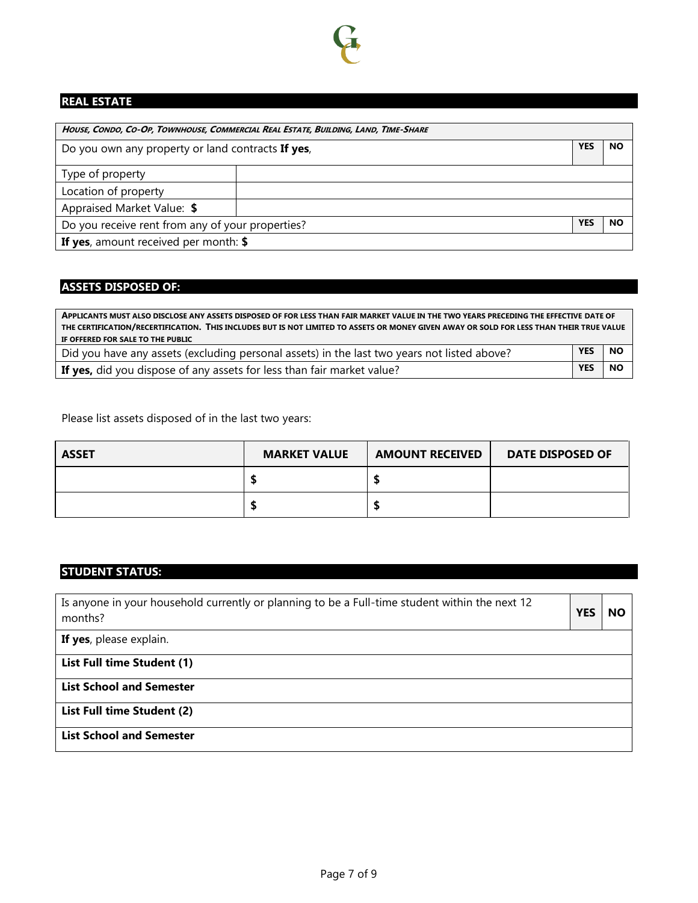

## **REAL ESTATE**

| HOUSE, CONDO, CO-OP, TOWNHOUSE, COMMERCIAL REAL ESTATE, BUILDING, LAND, TIME-SHARE |  |           |  |  |
|------------------------------------------------------------------------------------|--|-----------|--|--|
| Do you own any property or land contracts If yes,                                  |  | <b>NO</b> |  |  |
| Type of property                                                                   |  |           |  |  |
| Location of property                                                               |  |           |  |  |
| Appraised Market Value: \$                                                         |  |           |  |  |
| Do you receive rent from any of your properties?                                   |  | <b>NO</b> |  |  |
| If yes, amount received per month: \$                                              |  |           |  |  |

## **ASSETS DISPOSED OF:**

| APPLICANTS MUST ALSO DISCLOSE ANY ASSETS DISPOSED OF FOR LESS THAN FAIR MARKET VALUE IN THE TWO YEARS PRECEDING THE EFFECTIVE DATE OF    |            |           |  |
|------------------------------------------------------------------------------------------------------------------------------------------|------------|-----------|--|
| THE CERTIFICATION/RECERTIFICATION. THIS INCLUDES BUT IS NOT LIMITED TO ASSETS OR MONEY GIVEN AWAY OR SOLD FOR LESS THAN THEIR TRUE VALUE |            |           |  |
| IF OFFERED FOR SALE TO THE PUBLIC                                                                                                        |            |           |  |
| Did you have any assets (excluding personal assets) in the last two years not listed above?                                              | <b>YES</b> | <b>NO</b> |  |
| If yes, did you dispose of any assets for less than fair market value?                                                                   |            |           |  |

Please list assets disposed of in the last two years:

| <b>ASSET</b> | <b>MARKET VALUE</b> | <b>AMOUNT RECEIVED</b> | <b>DATE DISPOSED OF</b> |
|--------------|---------------------|------------------------|-------------------------|
|              |                     |                        |                         |
|              |                     |                        |                         |

## **STUDENT STATUS:**

| Is anyone in your household currently or planning to be a Full-time student within the next 12<br>months? | <b>YES</b> | <b>NO</b> |
|-----------------------------------------------------------------------------------------------------------|------------|-----------|
| If yes, please explain.                                                                                   |            |           |
| List Full time Student (1)                                                                                |            |           |
| <b>List School and Semester</b>                                                                           |            |           |
| List Full time Student (2)                                                                                |            |           |
| <b>List School and Semester</b>                                                                           |            |           |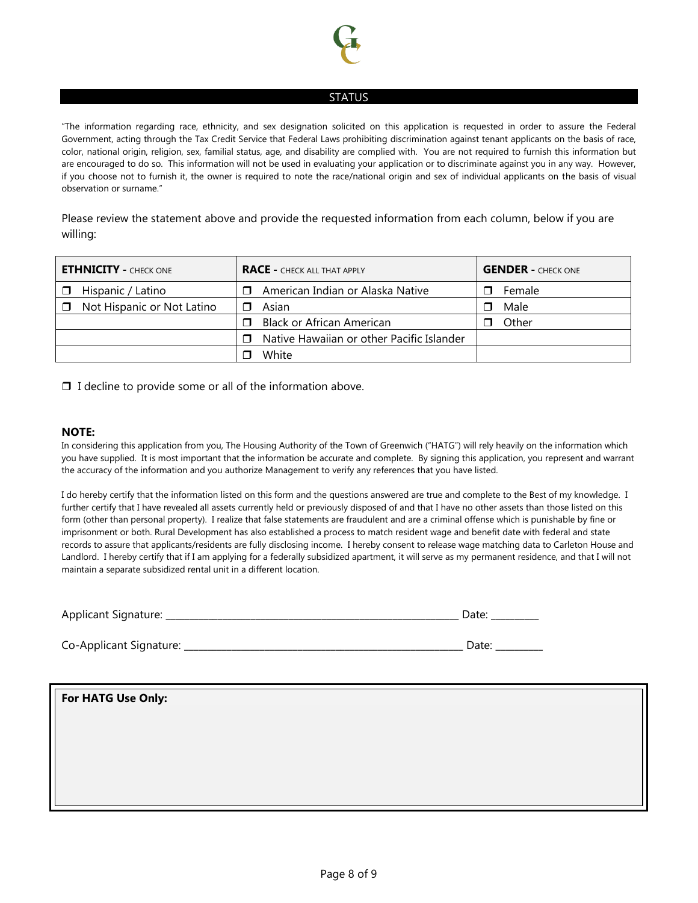

#### STATUS

"The information regarding race, ethnicity, and sex designation solicited on this application is requested in order to assure the Federal Government, acting through the Tax Credit Service that Federal Laws prohibiting discrimination against tenant applicants on the basis of race, color, national origin, religion, sex, familial status, age, and disability are complied with. You are not required to furnish this information but are encouraged to do so. This information will not be used in evaluating your application or to discriminate against you in any way. However, if you choose not to furnish it, the owner is required to note the race/national origin and sex of individual applicants on the basis of visual observation or surname."

Please review the statement above and provide the requested information from each column, below if you are willing:

| <b>ETHNICITY - CHECK ONE</b>         | <b>RACE - CHECK ALL THAT APPLY</b>         | <b>GENDER - CHECK ONE</b> |
|--------------------------------------|--------------------------------------------|---------------------------|
| Hispanic / Latino                    | American Indian or Alaska Native<br>$\Box$ | Female<br>⊓               |
| Not Hispanic or Not Latino<br>$\Box$ | Asian                                      | Male<br>⊓                 |
|                                      | Black or African American<br>$\Box$        | Other                     |
|                                      | Native Hawaiian or other Pacific Islander  |                           |
|                                      | White                                      |                           |

 $\Box$  I decline to provide some or all of the information above.

#### **NOTE:**

In considering this application from you, The Housing Authority of the Town of Greenwich ("HATG") will rely heavily on the information which you have supplied. It is most important that the information be accurate and complete. By signing this application, you represent and warrant the accuracy of the information and you authorize Management to verify any references that you have listed.

I do hereby certify that the information listed on this form and the questions answered are true and complete to the Best of my knowledge. I further certify that I have revealed all assets currently held or previously disposed of and that I have no other assets than those listed on this form (other than personal property). I realize that false statements are fraudulent and are a criminal offense which is punishable by fine or imprisonment or both. Rural Development has also established a process to match resident wage and benefit date with federal and state records to assure that applicants/residents are fully disclosing income. I hereby consent to release wage matching data to Carleton House and Landlord. I hereby certify that if I am applying for a federally subsidized apartment, it will serve as my permanent residence, and that I will not maintain a separate subsidized rental unit in a different location.

| Applicant<br>signature: |  | . . |
|-------------------------|--|-----|
|-------------------------|--|-----|

Co-Applicant Signature: \_\_\_\_\_\_\_\_\_\_\_\_\_\_\_\_\_\_\_\_\_\_\_\_\_\_\_\_\_\_\_\_\_\_\_\_\_\_\_\_\_\_\_\_\_\_\_\_\_\_\_\_\_\_\_\_\_\_\_ Date: \_\_\_\_\_\_\_\_\_\_

| For HATG Use Only: |  |  |
|--------------------|--|--|
|                    |  |  |
|                    |  |  |
|                    |  |  |
|                    |  |  |